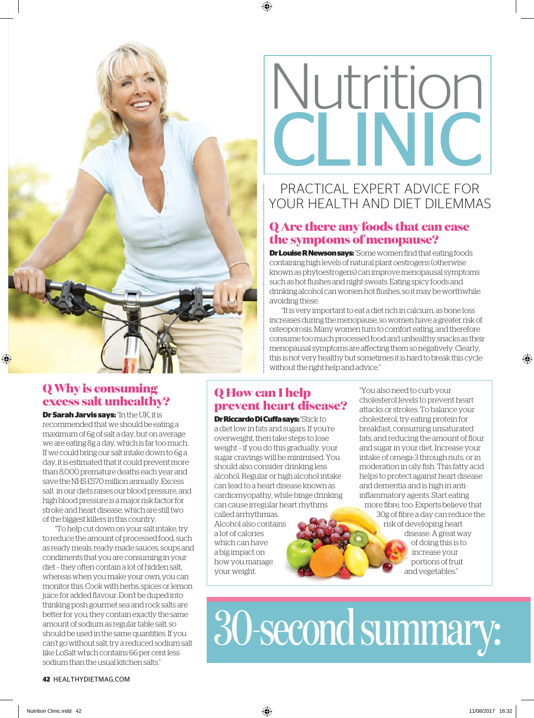

# Nutrition  $\overline{\mathcal{C}}$

### PRACTICAL EXPERT ADVICE FOR YOUR HEALTH AND DIET DILEMMAS

#### **Q Are there any foods that can ease the symptoms of menopause?**

**Dr Louise R Newson says:** "Some women find that eating foods containing high levels of natural plant oestrogens (otherwise known as phytoestrogens) can improve menopausal symptoms such as hot flushes and night sweats. Eating spicy foods and drinking alcohol can worsen hot flushes, so it may be worthwhile avoiding these.

"It is very important to eat a diet rich in calcium, as bone loss increases during the menopause, so women have a greater risk of osteoporosis. Many women turn to comfort eating, and therefore consume too much processed food and unhealthy snacks as their menopausal symptoms are affecting them so negatively. Clearly, this is not very healthy but sometimes it is hard to break this cycle without the right help and advice."

#### **Q Why is consuming excess salt unhealthy?**

**Dr Sarah Jarvis says:** "In the UK, it is recommended that we should be eating a maximum of 6g of salt a day, but on average we are eating 8g a day, which is far too much. If we could bring our salt intake down to 6g a day, it is estimated that it could prevent more than 8,000 premature deaths each year and save the NHS £570 million annually. Excess salt in our diets raises our blood pressure, and high blood pressure is a major risk factor for stroke and heart disease, which are still two of the biggest killers in this country.

"To help cut down on your salt intake, try to reduce the amount of processed food, such as ready meals, ready-made sauces, soups and condiments that you are consuming in your diet – they often contain a lot of hidden salt, whereas when you make your own, you can monitor this. Cook with herbs, spices or lemon juice for added flavour. Don't be duped into thinking posh gourmet sea and rock salts are better for you; they contain exactly the same amount of sodium as regular table salt, so should be used in the same quantities. If you can't go without salt, try a reduced sodium salt like LoSalt which contains 66 per cent less sodium than the usual kitchen salts."

#### **Q How can I help prevent heart disease?**

**Dr Riccardo Di Cuffa says:** "Stick to a diet low in fats and sugars. If you're overweight, then take steps to lose weight – if you do this gradually, your sugar cravings will be minimised. You should also consider drinking less alcohol. Regular or high alcohol intake can lead to a heart disease known as cardiomyopathy, while binge drinking can cause irregular heart rhythms called arrhythmias. Alcohol also contains a lot of calories

which can have a big impact on how you manage your weight.

"You also need to curb your cholesterol levels to prevent heart attacks or strokes. To balance your cholesterol, try eating protein for breakfast, consuming unsaturated fats, and reducing the amount of flour and sugar in your diet. Increase your intake of omega-3 through nuts, or in moderation in oily fish. This fatty acid helps to protect against heart disease and dementia and is high in antiinflammatory agents. Start eating more fibre, too. Experts believe that 30g of fibre a day can reduce the risk of developing heart disease. A great way of doing this is to increase your portions of fruit and vegetables."

30-second summary: